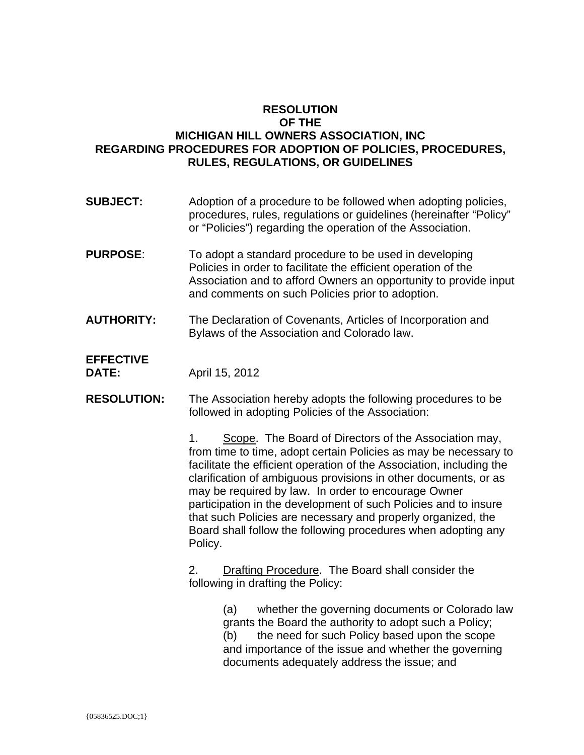## **RESOLUTION OF THE MICHIGAN HILL OWNERS ASSOCIATION, INC REGARDING PROCEDURES FOR ADOPTION OF POLICIES, PROCEDURES, RULES, REGULATIONS, OR GUIDELINES**

- **SUBJECT:** Adoption of a procedure to be followed when adopting policies, procedures, rules, regulations or guidelines (hereinafter "Policy" or "Policies") regarding the operation of the Association.
- **PURPOSE:** To adopt a standard procedure to be used in developing Policies in order to facilitate the efficient operation of the Association and to afford Owners an opportunity to provide input and comments on such Policies prior to adoption.
- **AUTHORITY:** The Declaration of Covenants, Articles of Incorporation and Bylaws of the Association and Colorado law.

## **EFFECTIVE**

**DATE:** April 15, 2012

**RESOLUTION:** The Association hereby adopts the following procedures to be followed in adopting Policies of the Association:

> 1. Scope. The Board of Directors of the Association may, from time to time, adopt certain Policies as may be necessary to facilitate the efficient operation of the Association, including the clarification of ambiguous provisions in other documents, or as may be required by law. In order to encourage Owner participation in the development of such Policies and to insure that such Policies are necessary and properly organized, the Board shall follow the following procedures when adopting any Policy.

2. Drafting Procedure. The Board shall consider the following in drafting the Policy:

> (a) whether the governing documents or Colorado law grants the Board the authority to adopt such a Policy; (b) the need for such Policy based upon the scope and importance of the issue and whether the governing documents adequately address the issue; and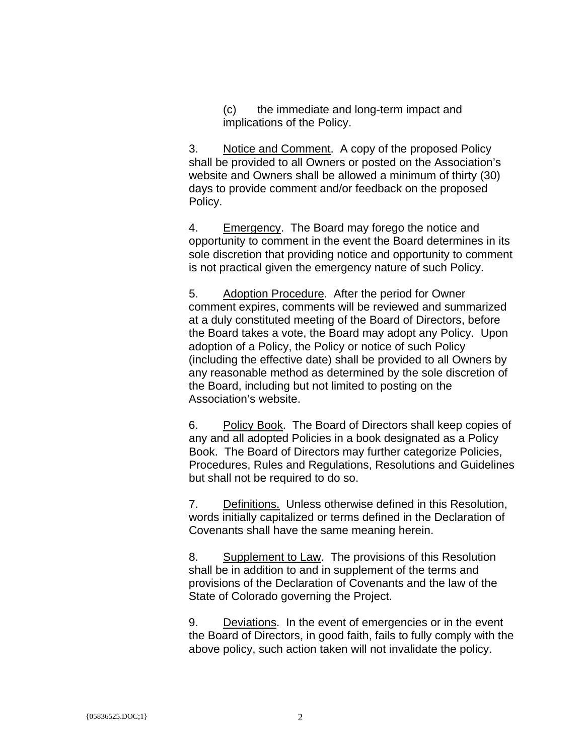(c) the immediate and long-term impact and implications of the Policy.

3. Notice and Comment. A copy of the proposed Policy shall be provided to all Owners or posted on the Association's website and Owners shall be allowed a minimum of thirty (30) days to provide comment and/or feedback on the proposed Policy.

4. Emergency. The Board may forego the notice and opportunity to comment in the event the Board determines in its sole discretion that providing notice and opportunity to comment is not practical given the emergency nature of such Policy.

5. Adoption Procedure. After the period for Owner comment expires, comments will be reviewed and summarized at a duly constituted meeting of the Board of Directors, before the Board takes a vote, the Board may adopt any Policy. Upon adoption of a Policy, the Policy or notice of such Policy (including the effective date) shall be provided to all Owners by any reasonable method as determined by the sole discretion of the Board, including but not limited to posting on the Association's website.

6. Policy Book. The Board of Directors shall keep copies of any and all adopted Policies in a book designated as a Policy Book. The Board of Directors may further categorize Policies, Procedures, Rules and Regulations, Resolutions and Guidelines but shall not be required to do so.

7. Definitions. Unless otherwise defined in this Resolution, words initially capitalized or terms defined in the Declaration of Covenants shall have the same meaning herein.

8. Supplement to Law. The provisions of this Resolution shall be in addition to and in supplement of the terms and provisions of the Declaration of Covenants and the law of the State of Colorado governing the Project.

9. Deviations. In the event of emergencies or in the event the Board of Directors, in good faith, fails to fully comply with the above policy, such action taken will not invalidate the policy.